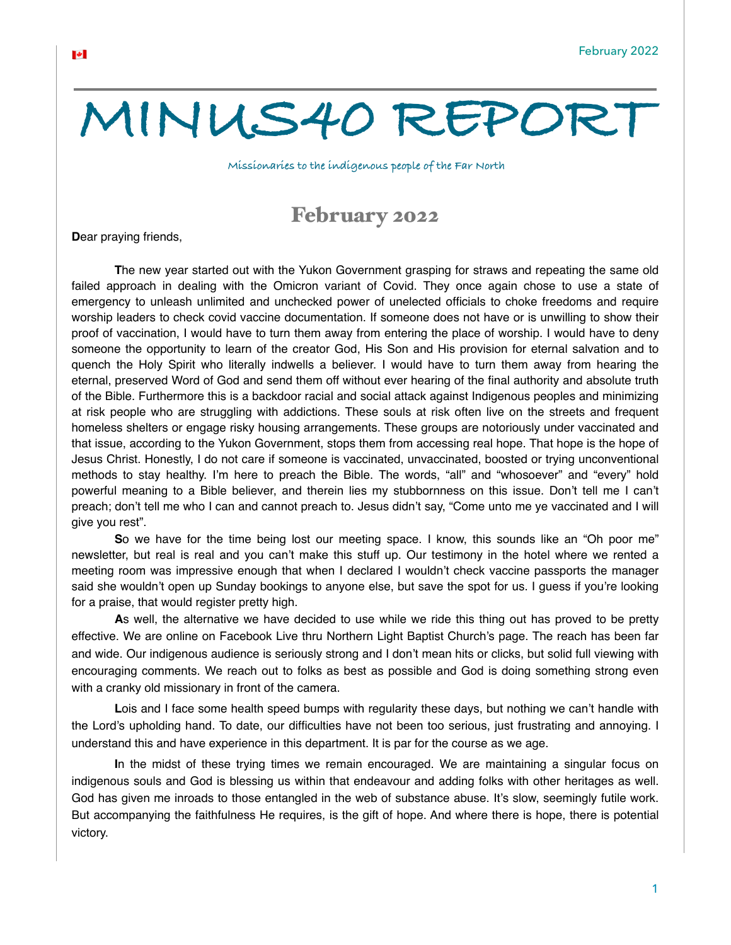## **MINUS40 REPORT**

**Missionaries to the indigenous people of the Far North**

## February 2022

**D**ear praying friends,

**T**he new year started out with the Yukon Government grasping for straws and repeating the same old failed approach in dealing with the Omicron variant of Covid. They once again chose to use a state of emergency to unleash unlimited and unchecked power of unelected officials to choke freedoms and require worship leaders to check covid vaccine documentation. If someone does not have or is unwilling to show their proof of vaccination, I would have to turn them away from entering the place of worship. I would have to deny someone the opportunity to learn of the creator God, His Son and His provision for eternal salvation and to quench the Holy Spirit who literally indwells a believer. I would have to turn them away from hearing the eternal, preserved Word of God and send them off without ever hearing of the final authority and absolute truth of the Bible. Furthermore this is a backdoor racial and social attack against Indigenous peoples and minimizing at risk people who are struggling with addictions. These souls at risk often live on the streets and frequent homeless shelters or engage risky housing arrangements. These groups are notoriously under vaccinated and that issue, according to the Yukon Government, stops them from accessing real hope. That hope is the hope of Jesus Christ. Honestly, I do not care if someone is vaccinated, unvaccinated, boosted or trying unconventional methods to stay healthy. I'm here to preach the Bible. The words, "all" and "whosoever" and "every" hold powerful meaning to a Bible believer, and therein lies my stubbornness on this issue. Don't tell me I can't preach; don't tell me who I can and cannot preach to. Jesus didn't say, "Come unto me ye vaccinated and I will give you rest".

**S**o we have for the time being lost our meeting space. I know, this sounds like an "Oh poor me" newsletter, but real is real and you can't make this stuff up. Our testimony in the hotel where we rented a meeting room was impressive enough that when I declared I wouldn't check vaccine passports the manager said she wouldn't open up Sunday bookings to anyone else, but save the spot for us. I guess if you're looking for a praise, that would register pretty high.

**A**s well, the alternative we have decided to use while we ride this thing out has proved to be pretty effective. We are online on Facebook Live thru Northern Light Baptist Church's page. The reach has been far and wide. Our indigenous audience is seriously strong and I don't mean hits or clicks, but solid full viewing with encouraging comments. We reach out to folks as best as possible and God is doing something strong even with a cranky old missionary in front of the camera.

**L**ois and I face some health speed bumps with regularity these days, but nothing we can't handle with the Lord's upholding hand. To date, our difficulties have not been too serious, just frustrating and annoying. I understand this and have experience in this department. It is par for the course as we age.

**I**n the midst of these trying times we remain encouraged. We are maintaining a singular focus on indigenous souls and God is blessing us within that endeavour and adding folks with other heritages as well. God has given me inroads to those entangled in the web of substance abuse. It's slow, seemingly futile work. But accompanying the faithfulness He requires, is the gift of hope. And where there is hope, there is potential victory.